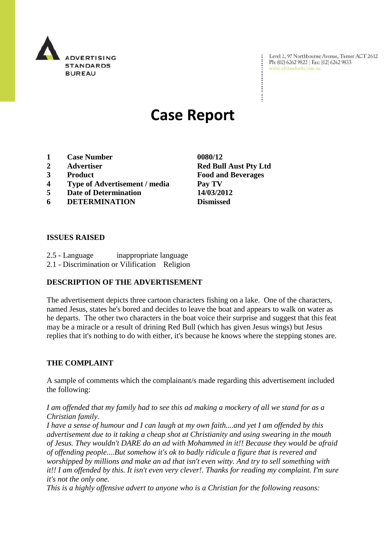

Level 2, 97 Northbourne Avenue, Turner ACT 2612 Ph: (02) 6262 9822 | Fax: (02) 6262 9833 www.adstandards.com.au

# **Case Report**

- **1 Case Number 0080/12**
- 
- 
- **4 Type of Advertisement / media Pay TV**
- **5 Date of Determination 14/03/2012**
- **6 DETERMINATION Dismissed**

## **ISSUES RAISED**

- 2.5 Language inappropriate language
- 2.1 Discrimination or Vilification Religion

# **DESCRIPTION OF THE ADVERTISEMENT**

The advertisement depicts three cartoon characters fishing on a lake. One of the characters, named Jesus, states he's bored and decides to leave the boat and appears to walk on water as he departs. The other two characters in the boat voice their surprise and suggest that this feat may be a miracle or a result of drining Red Bull (which has given Jesus wings) but Jesus replies that it's nothing to do with either, it's because he knows where the stepping stones are.

#### **THE COMPLAINT**

A sample of comments which the complainant/s made regarding this advertisement included the following:

*I am offended that my family had to see this ad making a mockery of all we stand for as a Christian family.*

*I have a sense of humour and I can laugh at my own faith....and yet I am offended by this advertisement due to it taking a cheap shot at Christianity and using swearing in the mouth of Jesus. They wouldn't DARE do an ad with Mohammed in it!! Because they would be afraid of offending people....But somehow it's ok to badly ridicule a figure that is revered and worshipped by millions and make an ad that isn't even witty. And try to sell something with it!! I am offended by this. It isn't even very clever!. Thanks for reading my complaint. I'm sure it's not the only one.* 

*This is a highly offensive advert to anyone who is a Christian for the following reasons:*

**2 Advertiser Red Bull Aust Pty Ltd 3 Product Food and Beverages**

 $\ddot{\cdot}$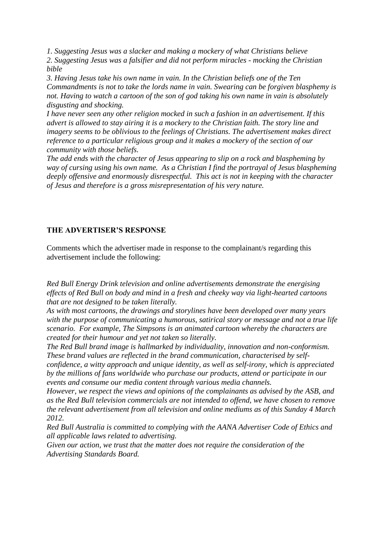*1. Suggesting Jesus was a slacker and making a mockery of what Christians believe 2. Suggesting Jesus was a falsifier and did not perform miracles - mocking the Christian bible*

*3. Having Jesus take his own name in vain. In the Christian beliefs one of the Ten Commandments is not to take the lords name in vain. Swearing can be forgiven blasphemy is not. Having to watch a cartoon of the son of god taking his own name in vain is absolutely disgusting and shocking.* 

*I have never seen any other religion mocked in such a fashion in an advertisement. If this advert is allowed to stay airing it is a mockery to the Christian faith. The story line and imagery seems to be oblivious to the feelings of Christians. The advertisement makes direct reference to a particular religious group and it makes a mockery of the section of our community with those beliefs.*

*The add ends with the character of Jesus appearing to slip on a rock and blaspheming by way of cursing using his own name. As a Christian I find the portrayal of Jesus blaspheming deeply offensive and enormously disrespectful. This act is not in keeping with the character of Jesus and therefore is a gross misrepresentation of his very nature.* 

## **THE ADVERTISER'S RESPONSE**

Comments which the advertiser made in response to the complainant/s regarding this advertisement include the following:

*Red Bull Energy Drink television and online advertisements demonstrate the energising effects of Red Bull on body and mind in a fresh and cheeky way via light-hearted cartoons that are not designed to be taken literally.* 

*As with most cartoons, the drawings and storylines have been developed over many years with the purpose of communicating a humorous, satirical story or message and not a true life scenario. For example, The Simpsons is an animated cartoon whereby the characters are created for their humour and yet not taken so literally.*

*The Red Bull brand image is hallmarked by individuality, innovation and non-conformism. These brand values are reflected in the brand communication, characterised by selfconfidence, a witty approach and unique identity, as well as self-irony, which is appreciated by the millions of fans worldwide who purchase our products, attend or participate in our* 

*events and consume our media content through various media channels.*

*However, we respect the views and opinions of the complainants as advised by the ASB, and as the Red Bull television commercials are not intended to offend, we have chosen to remove the relevant advertisement from all television and online mediums as of this Sunday 4 March 2012.*

*Red Bull Australia is committed to complying with the AANA Advertiser Code of Ethics and all applicable laws related to advertising.* 

*Given our action, we trust that the matter does not require the consideration of the Advertising Standards Board.*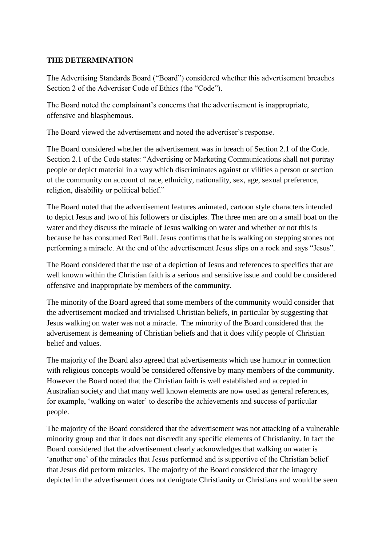## **THE DETERMINATION**

The Advertising Standards Board ("Board") considered whether this advertisement breaches Section 2 of the Advertiser Code of Ethics (the "Code").

The Board noted the complainant"s concerns that the advertisement is inappropriate, offensive and blasphemous.

The Board viewed the advertisement and noted the advertiser's response.

The Board considered whether the advertisement was in breach of Section 2.1 of the Code. Section 2.1 of the Code states: "Advertising or Marketing Communications shall not portray people or depict material in a way which discriminates against or vilifies a person or section of the community on account of race, ethnicity, nationality, sex, age, sexual preference, religion, disability or political belief."

The Board noted that the advertisement features animated, cartoon style characters intended to depict Jesus and two of his followers or disciples. The three men are on a small boat on the water and they discuss the miracle of Jesus walking on water and whether or not this is because he has consumed Red Bull. Jesus confirms that he is walking on stepping stones not performing a miracle. At the end of the advertisement Jesus slips on a rock and says "Jesus".

The Board considered that the use of a depiction of Jesus and references to specifics that are well known within the Christian faith is a serious and sensitive issue and could be considered offensive and inappropriate by members of the community.

The minority of the Board agreed that some members of the community would consider that the advertisement mocked and trivialised Christian beliefs, in particular by suggesting that Jesus walking on water was not a miracle. The minority of the Board considered that the advertisement is demeaning of Christian beliefs and that it does vilify people of Christian belief and values.

The majority of the Board also agreed that advertisements which use humour in connection with religious concepts would be considered offensive by many members of the community. However the Board noted that the Christian faith is well established and accepted in Australian society and that many well known elements are now used as general references, for example, "walking on water" to describe the achievements and success of particular people.

The majority of the Board considered that the advertisement was not attacking of a vulnerable minority group and that it does not discredit any specific elements of Christianity. In fact the Board considered that the advertisement clearly acknowledges that walking on water is "another one" of the miracles that Jesus performed and is supportive of the Christian belief that Jesus did perform miracles. The majority of the Board considered that the imagery depicted in the advertisement does not denigrate Christianity or Christians and would be seen